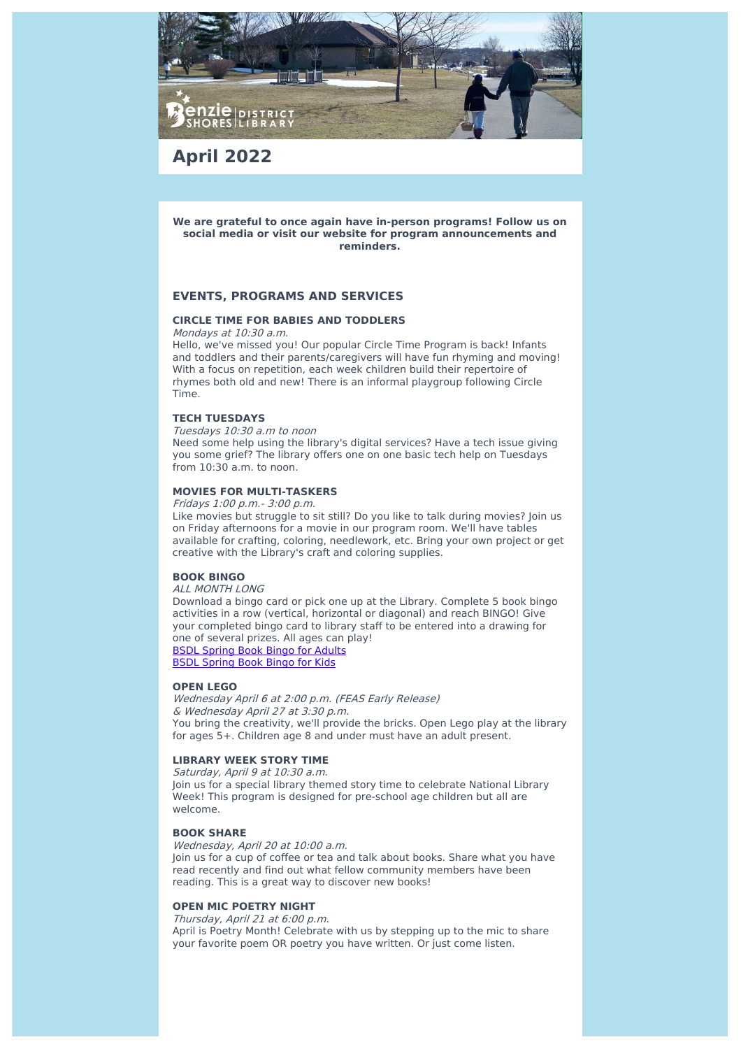

**April 2022**

**We are grateful to once again have in-person programs! Follow us on social media or visit our website for program announcements and reminders.**

## **EVENTS, PROGRAMS AND SERVICES**

## **CIRCLE TIME FOR BABIES AND TODDLERS**

Mondays at 10:30 a.m.

Hello, we've missed you! Our popular Circle Time Program is back! Infants and toddlers and their parents/caregivers will have fun rhyming and moving! With a focus on repetition, each week children build their repertoire of rhymes both old and new! There is an informal playgroup following Circle Time.

## **TECH TUESDAYS**

Tuesdays 10:30 a.m to noon

Need some help using the library's digital services? Have a tech issue giving you some grief? The library offers one on one basic tech help on Tuesdays from  $10.30 \text{ a m}$  to noon.

## **MOVIES FOR MULTI-TASKERS**

Fridays 1:00 p.m.- 3:00 p.m.

Like movies but struggle to sit still? Do you like to talk during movies? Join us on Friday afternoons for a movie in our program room. We'll have tables available for crafting, coloring, needlework, etc. Bring your own project or get creative with the Library's craft and coloring supplies.

## **BOOK BINGO**

ALL MONTH LONG

Download a bingo card or pick one up at the Library. Complete 5 book bingo activities in a row (vertical, horizontal or diagonal) and reach BINGO! Give your completed bingo card to library staff to be entered into a drawing for one of several prizes. All ages can play! BSDL [Spring](https://piperlibraryfiles.com/ckfinder/connector?command=Proxy&lang=en&type=BenzieShores¤tFolder=%2Fdocuments%2F&hash=f6cef6e43d6c58c46bde30fdf0867a76580df470&fileName=BSDL%20Spring%20Reading%20Challenge.pdf&utm_source=sendinblue&utm_campaign=BSDL%20Shorelines%20April%202022&utm_medium=email) Book Bingo for Adults

BSDL [Spring](https://piperlibraryfiles.com/ckfinder/connector?command=Proxy&lang=en&type=BenzieShores¤tFolder=%2Fdocuments%2F&hash=f6cef6e43d6c58c46bde30fdf0867a76580df470&fileName=BSDL%20KIDS%20Spring%20Reading%20Challenge.pdf&utm_source=sendinblue&utm_campaign=BSDL%20Shorelines%20April%202022&utm_medium=email) Book Bingo for Kids

## **OPEN LEGO**

Wednesday April 6 at 2:00 p.m. (FEAS Early Release) & Wednesday April 27 at 3:30 p.m. You bring the creativity, we'll provide the bricks. Open Lego play at the library for ages 5+. Children age 8 and under must have an adult present.

## **LIBRARY WEEK STORY TIME**

Saturday, April 9 at 10:30 a.m. Join us for a special library themed story time to celebrate National Library Week! This program is designed for pre-school age children but all are welcome.

## **BOOK SHARE**

Wednesday, April 20 at 10:00 a.m.

Join us for a cup of coffee or tea and talk about books. Share what you have read recently and find out what fellow community members have been reading. This is a great way to discover new books!

## **OPEN MIC POETRY NIGHT**

Thursday, April 21 at 6:00 p.m.

April is Poetry Month! Celebrate with us by stepping up to the mic to share your favorite poem OR poetry you have written. Or just come listen.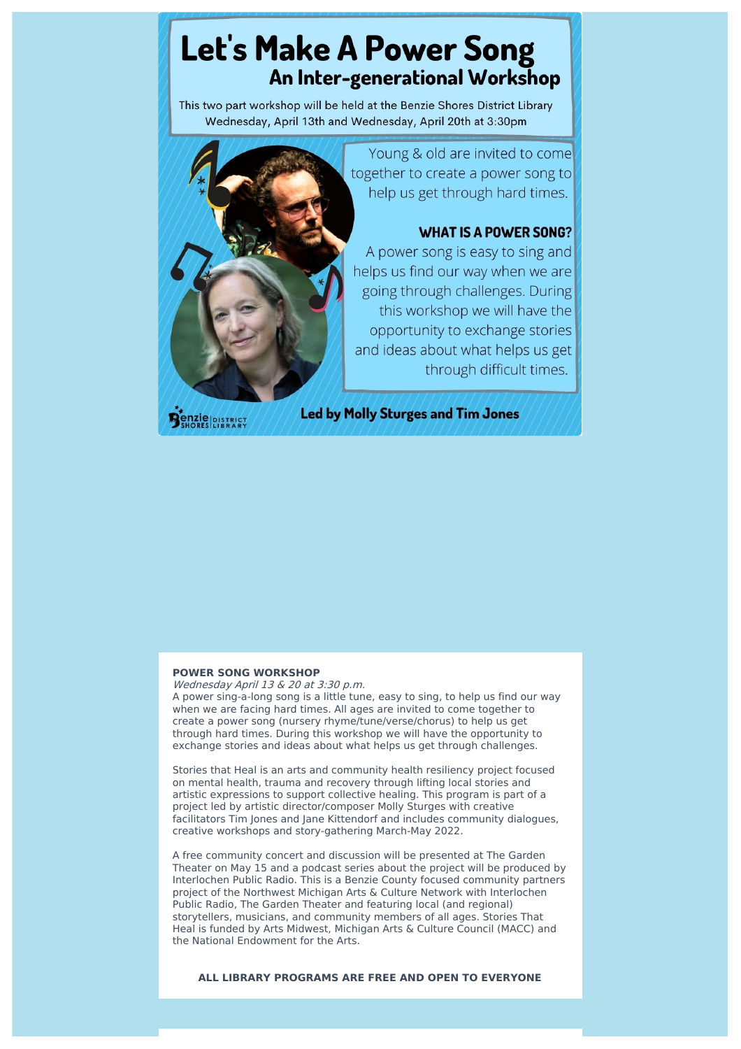# **Let's Make A Power Song** An Inter-generational Workshop

This two part workshop will be held at the Benzie Shores District Library Wednesday, April 13th and Wednesday, April 20th at 3:30pm

**enzie** DISTRICT

Young & old are invited to come together to create a power song to help us get through hard times.

## **WHAT IS A POWER SONG?**

A power song is easy to sing and helps us find our way when we are going through challenges. During this workshop we will have the opportunity to exchange stories and ideas about what helps us get through difficult times.

**Led by Molly Sturges and Tim Jones** 

## **POWER SONG WORKSHOP**

Wednesday April 13 & 20 at 3:30 p.m. A power sing-a-long song is a little tune, easy to sing, to help us find our way when we are facing hard times. All ages are invited to come together to create a power song (nursery rhyme/tune/verse/chorus) to help us get through hard times. During this workshop we will have the opportunity to exchange stories and ideas about what helps us get through challenges.

Stories that Heal is an arts and community health resiliency project focused on mental health, trauma and recovery through lifting local stories and artistic expressions to support collective healing. This program is part of a project led by artistic director/composer Molly Sturges with creative facilitators Tim Jones and Jane Kittendorf and includes community dialogues, creative workshops and story-gathering March-May 2022.

A free community concert and discussion will be presented at The Garden Theater on May 15 and a podcast series about the project will be produced by Interlochen Public Radio. This is a Benzie County focused community partners project of the Northwest Michigan Arts & Culture Network with Interlochen Public Radio, The Garden Theater and featuring local (and regional) storytellers, musicians, and community members of all ages. Stories That Heal is funded by Arts Midwest, Michigan Arts & Culture Council (MACC) and the National Endowment for the Arts.

**ALL LIBRARY PROGRAMS ARE FREE AND OPEN TO EVERYONE**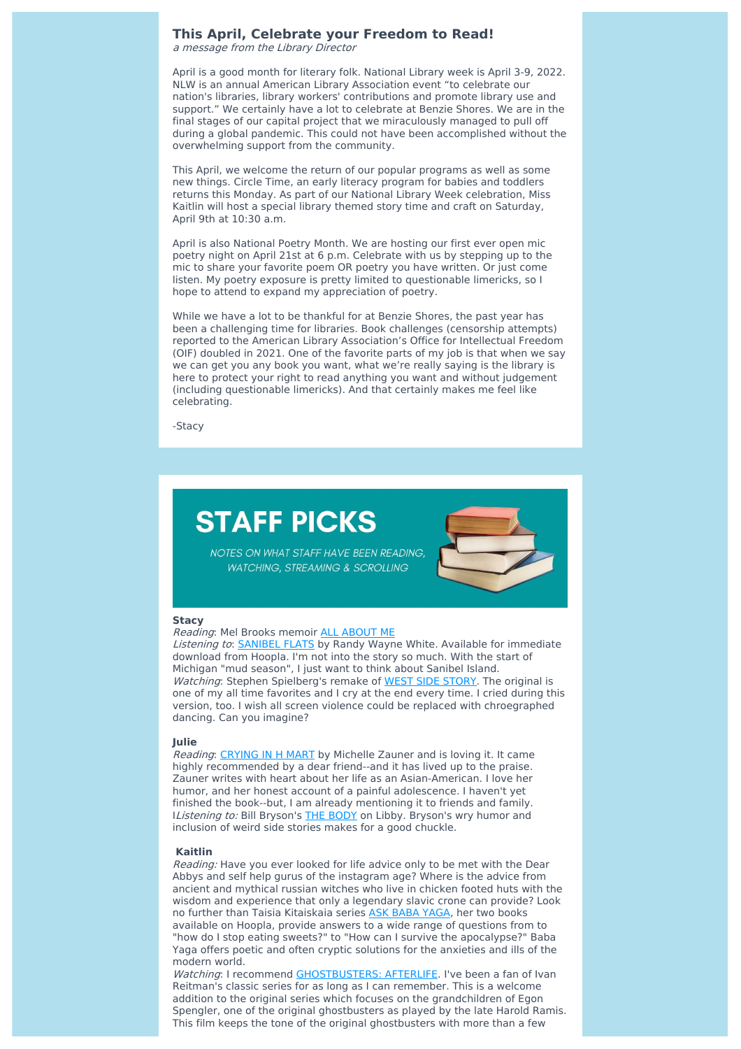## **This April, Celebrate your Freedom to Read!**

<sup>a</sup> message from the Library Director

April is a good month for literary folk. National Library week is April 3-9, 2022. NLW is an annual American Library Association event "to celebrate our nation's libraries, library workers' contributions and promote library use and support." We certainly have a lot to celebrate at Benzie Shores. We are in the final stages of our capital project that we miraculously managed to pull off during a global pandemic. This could not have been accomplished without the overwhelming support from the community.

This April, we welcome the return of our popular programs as well as some new things. Circle Time, an early literacy program for babies and toddlers returns this Monday. As part of our National Library Week celebration, Miss Kaitlin will host a special library themed story time and craft on Saturday, April 9th at 10:30 a.m.

April is also National Poetry Month. We are hosting our first ever open mic poetry night on April 21st at 6 p.m. Celebrate with us by stepping up to the mic to share your favorite poem OR poetry you have written. Or just come listen. My poetry exposure is pretty limited to questionable limericks, so I hope to attend to expand my appreciation of poetry.

While we have a lot to be thankful for at Benzie Shores, the past year has been a challenging time for libraries. Book challenges (censorship attempts) reported to the American Library Association's Office for Intellectual Freedom (OIF) doubled in 2021. One of the favorite parts of my job is that when we say we can get you any book you want, what we're really saying is the library is here to protect your right to read anything you want and without judgement (including questionable limericks). And that certainly makes me feel like celebrating.

-Stacy

# **STAFF PICKS**



NOTES ON WHAT STAFF HAVE BEEN READING, **WATCHING, STREAMING & SCROLLING** 

## **Stacy**

Reading: Mel Brooks memoir ALL [ABOUT](https://benzie.biblionix.com/catalog/biblio/513732665?utm_source=sendinblue&utm_campaign=BSDL%20Shorelines%20April%202022&utm_medium=email) ME Listening to: **[SANIBEL](https://www.hoopladigital.com/title/10756000?utm_source=sendinblue&utm_campaign=BSDL%20Shorelines%20April%202022&utm_medium=email) FLATS** by Randy Wayne White. Available for immediate download from Hoopla. I'm not into the story so much. With the start of Michigan "mud season", I just want to think about Sanibel Island. Watching: Stephen Spielberg's remake of WEST SIDE [STORY](https://benzie.biblionix.com/catalog/biblio/549876465?utm_source=sendinblue&utm_campaign=BSDL%20Shorelines%20April%202022&utm_medium=email). The original is one of my all time favorites and I cry at the end every time. I cried during this version, too. I wish all screen violence could be replaced with chroegraphed dancing. Can you imagine?

#### **Julie**

Reading: [CRYING](https://benzie.biblionix.com/catalog/biblio/551670651?utm_source=sendinblue&utm_campaign=BSDL%20Shorelines%20April%202022&utm_medium=email) IN H MART by Michelle Zauner and is loving it. It came highly recommended by a dear friend--and it has lived up to the praise. Zauner writes with heart about her life as an Asian-American. I love her humor, and her honest account of a painful adolescence. I haven't yet finished the book--but, I am already mentioning it to friends and family. IListening to: Bill Bryson's THE [BODY](https://libbyapp.com/search/upnorth/search/query-body/page-1/4528180?utm_source=sendinblue&utm_campaign=BSDL%20Shorelines%20April%202022&utm_medium=email) on Libby. Bryson's wry humor and inclusion of weird side stories makes for a good chuckle.

### **Kaitlin**

Reading: Have you ever looked for life advice only to be met with the Dear Abbys and self help gurus of the instagram age? Where is the advice from ancient and mythical russian witches who live in chicken footed huts with the wisdom and experience that only a legendary slavic crone can provide? Look no further than Taisia Kitaiskaia series ASK BABA [YAGA,](https://www.hoopladigital.com/title/11960878?utm_source=sendinblue&utm_campaign=BSDL%20Shorelines%20April%202022&utm_medium=email) her two books available on Hoopla, provide answers to a wide range of questions from to "how do I stop eating sweets?" to "How can I survive the apocalypse?" Baba Yaga offers poetic and often cryptic solutions for the anxieties and ills of the modern world.

Watching: I recommend [GHOSTBUSTERS:](https://benzie.biblionix.com/catalog/biblio/549876125?utm_source=sendinblue&utm_campaign=BSDL%20Shorelines%20April%202022&utm_medium=email) AFTERLIFE. I've been a fan of Ivan Reitman's classic series for as long as I can remember. This is a welcome addition to the original series which focuses on the grandchildren of Egon Spengler, one of the original ghostbusters as played by the late Harold Ramis. This film keeps the tone of the original ghostbusters with more than a few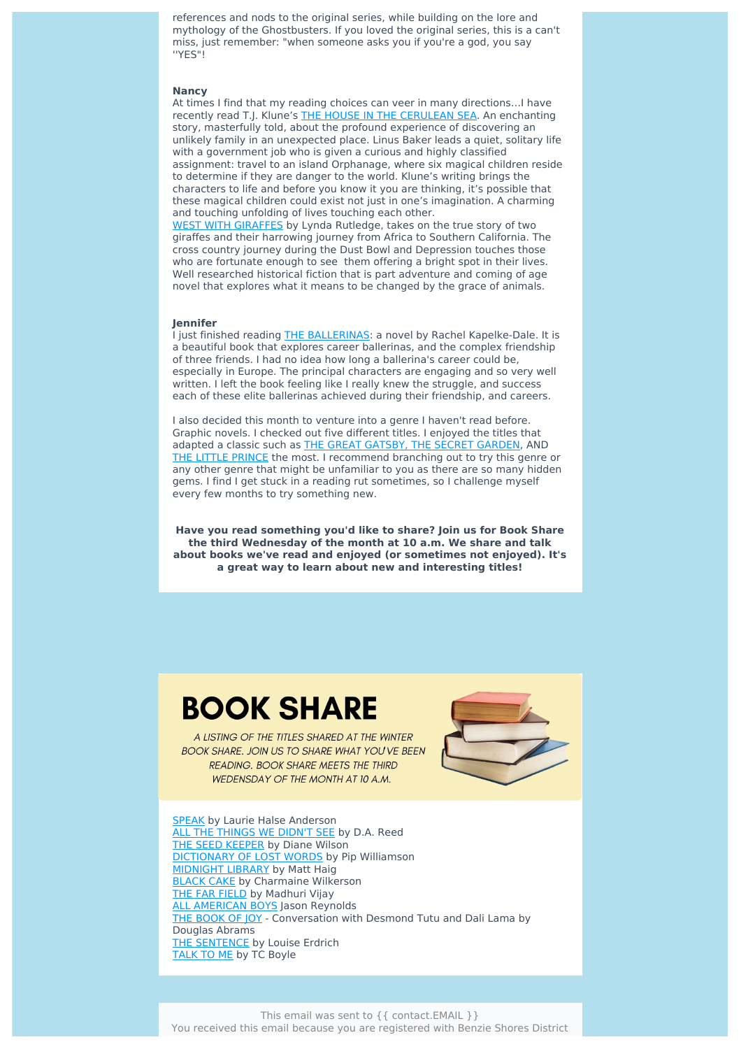references and nods to the original series, while building on the lore and mythology of the Ghostbusters. If you loved the original series, this is a can't miss, just remember: "when someone asks you if you're a god, you say ''YES"!

## **Nancy**

At times I find that my reading choices can veer in many directions…I have recently read T.J. Klune's THE HOUSE IN THE [CERULEAN](https://benzie.biblionix.com/catalog/biblio/551822867?utm_source=sendinblue&utm_campaign=BSDL%20Shorelines%20April%202022&utm_medium=email) SEA. An enchanting story, masterfully told, about the profound experience of discovering an unlikely family in an unexpected place. Linus Baker leads a quiet, solitary life with a government job who is given a curious and highly classified assignment: travel to an island Orphanage, where six magical children reside to determine if they are danger to the world. Klune's writing brings the characters to life and before you know it you are thinking, it's possible that these magical children could exist not just in one's imagination. A charming and touching unfolding of lives touching each other. WEST WITH [GIRAFFES](https://benzie.biblionix.com/catalog/biblio/550815339?utm_source=sendinblue&utm_campaign=BSDL%20Shorelines%20April%202022&utm_medium=email) by Lynda Rutledge, takes on the true story of two

giraffes and their harrowing journey from Africa to Southern California. The cross country journey during the Dust Bowl and Depression touches those who are fortunate enough to see them offering a bright spot in their lives. Well researched historical fiction that is part adventure and coming of age novel that explores what it means to be changed by the grace of animals.

## **Jennifer**

I just finished reading THE [BALLERINAS](https://benzie.biblionix.com/catalog/biblio/516901569?utm_source=sendinblue&utm_campaign=BSDL%20Shorelines%20April%202022&utm_medium=email): a novel by Rachel Kapelke-Dale. It is a beautiful book that explores career ballerinas, and the complex friendship of three friends. I had no idea how long a ballerina's career could be, especially in Europe. The principal characters are engaging and so very well written. I left the book feeling like I really knew the struggle, and success each of these elite ballerinas achieved during their friendship, and careers.

I also decided this month to venture into a genre I haven't read before. Graphic novels. I checked out five different titles. I enjoyed the titles that adapted a classic such as THE GREAT [GATSBY,](https://benzie.biblionix.com/catalog/biblio/437360715?utm_source=sendinblue&utm_campaign=BSDL%20Shorelines%20April%202022&utm_medium=email) THE SECRET [GARDEN,](https://benzie.biblionix.com/catalog/biblio/503353772?utm_source=sendinblue&utm_campaign=BSDL%20Shorelines%20April%202022&utm_medium=email) AND THE LITTLE [PRINCE](https://benzie.biblionix.com/catalog/biblio/365837126?utm_source=sendinblue&utm_campaign=BSDL%20Shorelines%20April%202022&utm_medium=email) the most. I recommend branching out to try this genre or any other genre that might be unfamiliar to you as there are so many hidden gems. I find I get stuck in a reading rut sometimes, so I challenge myself every few months to try something new.

**Have you read something you'd like to share? Join us for Book Share the third Wednesday of the month at 10 a.m. We share and talk about books we've read and enjoyed (or sometimes not enjoyed). It's a great way to learn about new and interesting titles!**

# **BOOK SHARE**

A LISTING OF THE TITLES SHARED AT THE WINTER **BOOK SHARE. JOIN US TO SHARE WHAT YOU'VE BEEN READING. BOOK SHARE MEETS THE THIRD WEDENSDAY OF THE MONTH AT 10 A.M.** 



**[SPEAK](https://benzie.biblionix.com/catalog/biblio/501000937?utm_source=sendinblue&utm_campaign=BSDL%20Shorelines%20April%202022&utm_medium=email)** by Laurie Halse Anderson ALL THE [THINGS](https://benzie.biblionix.com/catalog/biblio/551196151?utm_source=sendinblue&utm_campaign=BSDL%20Shorelines%20April%202022&utm_medium=email) WE DIDN'T SEE by D.A. Reed THE SEED [KEEPER](https://benzie.biblionix.com/catalog/biblio/549545341?utm_source=sendinblue&utm_campaign=BSDL%20Shorelines%20April%202022&utm_medium=email) by Diane Wilson [DICTIONARY](https://libbyapp.com/search/upnorth/search/query-The%20Dictionary%20of%20Lost%20Words/page-1?utm_source=sendinblue&utm_campaign=BSDL%20Shorelines%20April%202022&utm_medium=email) OF LOST WORDS by Pip Williamson [MIDNIGHT](https://benzie.biblionix.com/catalog/biblio/462869563?utm_source=sendinblue&utm_campaign=BSDL%20Shorelines%20April%202022&utm_medium=email) LIBRARY by Matt Haig **[BLACK](https://benzie.biblionix.com/catalog/biblio/541239901?utm_source=sendinblue&utm_campaign=BSDL%20Shorelines%20April%202022&utm_medium=email) CAKE by Charmaine Wilkerson** THE FAR [FIELD](https://search.mel.org/iii/encore/record/C__Rb37883704__Sthis%20far%20field__P0%2C8__Orightresult__U__X1?lang=eng&suite=gold&utm_source=sendinblue&utm_campaign=BSDL%20Shorelines%20April%202022&utm_medium=email) by Madhuri Vijay ALL [AMERICAN](https://benzie.biblionix.com/catalog/biblio/429450555?utm_source=sendinblue&utm_campaign=BSDL%20Shorelines%20April%202022&utm_medium=email) BOYS Jason Reynolds THE [BOOK](https://benzie.biblionix.com/catalog/biblio/365856208?utm_source=sendinblue&utm_campaign=BSDL%20Shorelines%20April%202022&utm_medium=email) OF JOY - Conversation with Desmond Tutu and Dali Lama by Douglas Abrams THE [SENTENCE](https://benzie.biblionix.com/catalog/biblio/513737799?utm_source=sendinblue&utm_campaign=BSDL%20Shorelines%20April%202022&utm_medium=email) by Louise Erdrich [TALK](https://benzie.biblionix.com/catalog/biblio/532079355?utm_source=sendinblue&utm_campaign=BSDL%20Shorelines%20April%202022&utm_medium=email) TO ME by TC Boyle